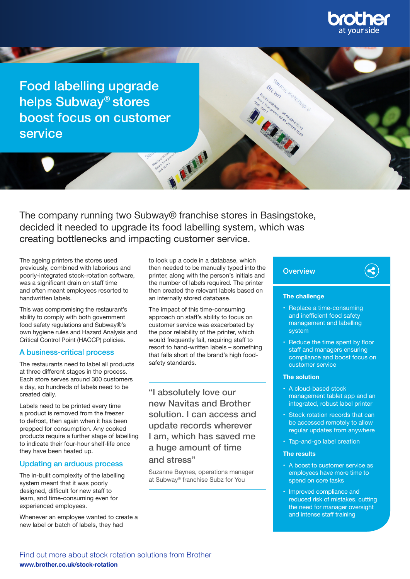

Food labelling upgrade helps Subway® stores boost focus on customer service

The company running two Subway® franchise stores in Basingstoke, decided it needed to upgrade its food labelling system, which was creating bottlenecks and impacting customer service.

The ageing printers the stores used previously, combined with laborious and poorly-integrated stock-rotation software, was a significant drain on staff time and often meant employees resorted to handwritten labels.

This was compromising the restaurant's ability to comply with both government food safety regulations and Subway®'s own hygiene rules and Hazard Analysis and Critical Control Point (HACCP) policies.

## A business-critical process

The restaurants need to label all products at three different stages in the process. Each store serves around 300 customers a day, so hundreds of labels need to be created daily.

Labels need to be printed every time a product is removed from the freezer to defrost, then again when it has been prepped for consumption. Any cooked products require a further stage of labelling to indicate their four-hour shelf-life once they have been heated up.

## Updating an arduous process

The in-built complexity of the labelling system meant that it was poorly designed, difficult for new staff to learn, and time-consuming even for experienced employees.

Whenever an employee wanted to create a new label or batch of labels, they had

to look up a code in a database, which then needed to be manually typed into the printer, along with the person's initials and the number of labels required. The printer then created the relevant labels based on an internally stored database.

M

The impact of this time-consuming approach on staff's ability to focus on customer service was exacerbated by the poor reliability of the printer, which would frequently fail, requiring staff to resort to hand-written labels – something that falls short of the brand's high foodsafety standards.

"I absolutely love our new Navitas and Brother solution. I can access and update records wherever I am, which has saved me a huge amount of time and stress"

Suzanne Baynes, operations manager at Subway® franchise Subz for You

## **Overview**

### **The challenge**

• Replace a time-consuming and inefficient food safety management and labelling system

 $\left(\blacktriangleleft\right)$ 

• Reduce the time spent by floor staff and managers ensuring compliance and boost focus on customer service

#### **The solution**

- A cloud-based stock management tablet app and an integrated, robust label printer
- Stock rotation records that can be accessed remotely to allow regular updates from anywhere
- Tap-and-go label creation

### **The results**

- A boost to customer service as employees have more time to spend on core tasks
- Improved compliance and reduced risk of mistakes, cutting the need for manager oversight and intense staff training